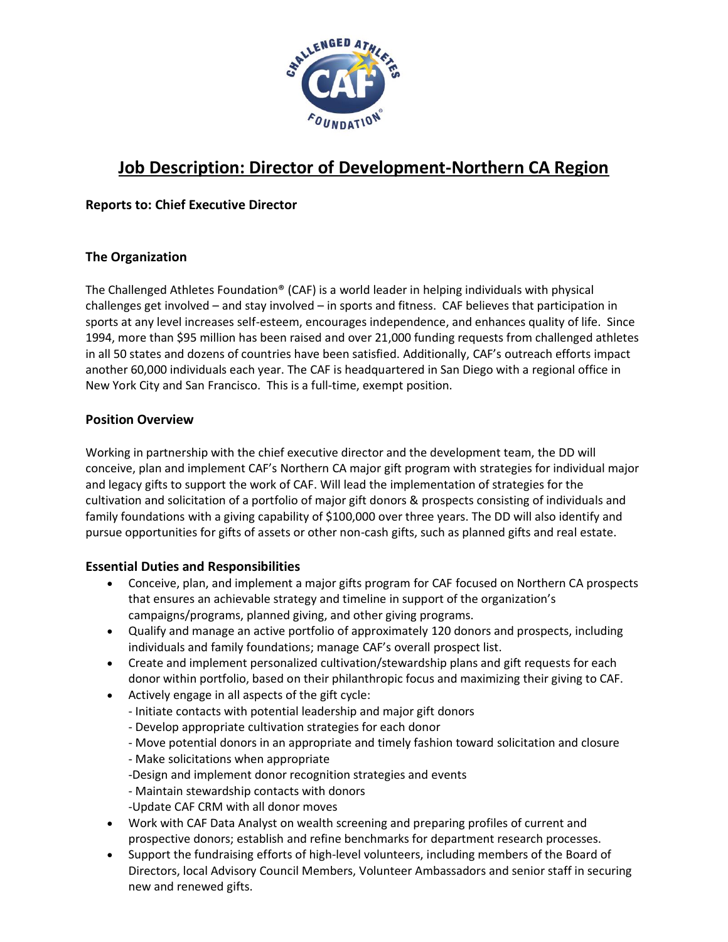

# **Job Description: Director of Development-Northern CA Region**

## **Reports to: Chief Executive Director**

## **The Organization**

The Challenged Athletes Foundation® (CAF) is a world leader in helping individuals with physical challenges get involved – and stay involved – in sports and fitness. CAF believes that participation in sports at any level increases self-esteem, encourages independence, and enhances quality of life. Since 1994, more than \$95 million has been raised and over 21,000 funding requests from challenged athletes in all 50 states and dozens of countries have been satisfied. Additionally, CAF's outreach efforts impact another 60,000 individuals each year. The CAF is headquartered in San Diego with a regional office in New York City and San Francisco. This is a full-time, exempt position.

### **Position Overview**

Working in partnership with the chief executive director and the development team, the DD will conceive, plan and implement CAF's Northern CA major gift program with strategies for individual major and legacy gifts to support the work of CAF. Will lead the implementation of strategies for the cultivation and solicitation of a portfolio of major gift donors & prospects consisting of individuals and family foundations with a giving capability of \$100,000 over three years. The DD will also identify and pursue opportunities for gifts of assets or other non-cash gifts, such as planned gifts and real estate.

### **Essential Duties and Responsibilities**

- Conceive, plan, and implement a major gifts program for CAF focused on Northern CA prospects that ensures an achievable strategy and timeline in support of the organization's campaigns/programs, planned giving, and other giving programs.
- Qualify and manage an active portfolio of approximately 120 donors and prospects, including individuals and family foundations; manage CAF's overall prospect list.
- Create and implement personalized cultivation/stewardship plans and gift requests for each donor within portfolio, based on their philanthropic focus and maximizing their giving to CAF.
- Actively engage in all aspects of the gift cycle:
	- Initiate contacts with potential leadership and major gift donors
	- Develop appropriate cultivation strategies for each donor
	- Move potential donors in an appropriate and timely fashion toward solicitation and closure
	- Make solicitations when appropriate
	- -Design and implement donor recognition strategies and events
	- Maintain stewardship contacts with donors
	- -Update CAF CRM with all donor moves
- Work with CAF Data Analyst on wealth screening and preparing profiles of current and prospective donors; establish and refine benchmarks for department research processes.
- Support the fundraising efforts of high-level volunteers, including members of the Board of Directors, local Advisory Council Members, Volunteer Ambassadors and senior staff in securing new and renewed gifts.